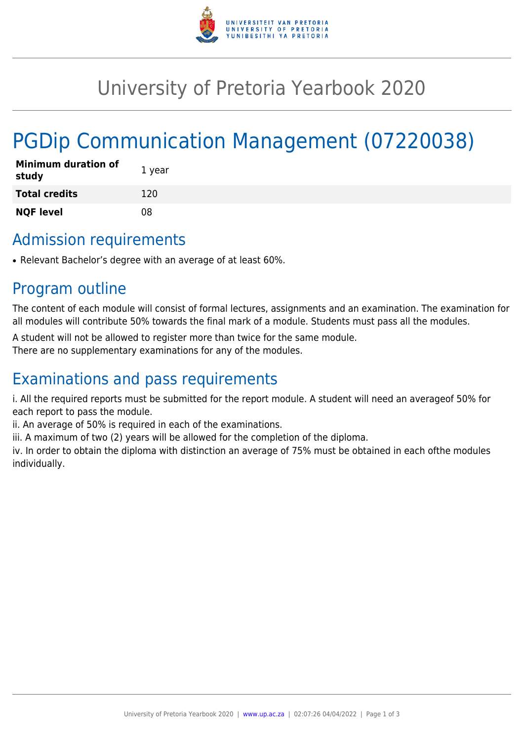

## University of Pretoria Yearbook 2020

# PGDip Communication Management (07220038)

| <b>Minimum duration of</b><br>study | 1 year |
|-------------------------------------|--------|
| <b>Total credits</b>                | 120    |
| <b>NQF level</b>                    | 08     |

### Admission requirements

• Relevant Bachelor's degree with an average of at least 60%.

### Program outline

The content of each module will consist of formal lectures, assignments and an examination. The examination for all modules will contribute 50% towards the final mark of a module. Students must pass all the modules.

A student will not be allowed to register more than twice for the same module.

There are no supplementary examinations for any of the modules.

### Examinations and pass requirements

i. All the required reports must be submitted for the report module. A student will need an averageof 50% for each report to pass the module.

ii. An average of 50% is required in each of the examinations.

iii. A maximum of two (2) years will be allowed for the completion of the diploma.

iv. In order to obtain the diploma with distinction an average of 75% must be obtained in each ofthe modules individually.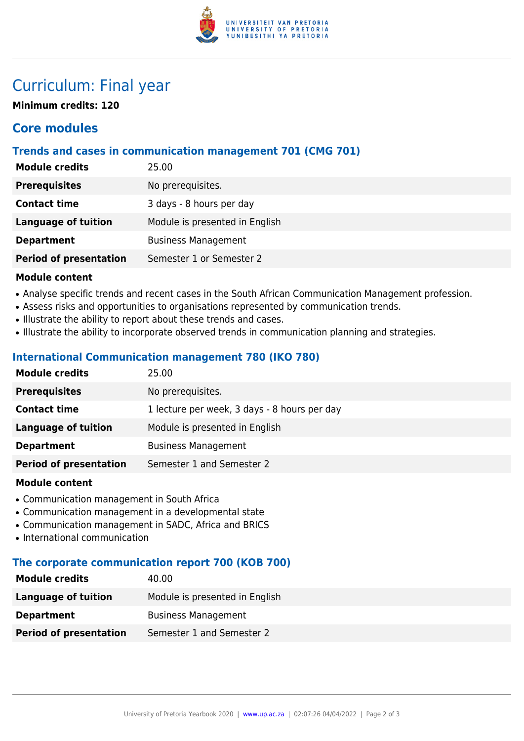

### Curriculum: Final year

**Minimum credits: 120**

### **Core modules**

#### **Trends and cases in communication management 701 (CMG 701)**

| 25.00                          |
|--------------------------------|
| No prerequisites.              |
| 3 days - 8 hours per day       |
| Module is presented in English |
| <b>Business Management</b>     |
| Semester 1 or Semester 2       |
|                                |

#### **Module content**

- Analyse specific trends and recent cases in the South African Communication Management profession.
- Assess risks and opportunities to organisations represented by communication trends.
- Illustrate the ability to report about these trends and cases.
- Illustrate the ability to incorporate observed trends in communication planning and strategies.

#### **International Communication management 780 (IKO 780)**

| <b>Module credits</b>         | 25.00                                        |
|-------------------------------|----------------------------------------------|
| <b>Prerequisites</b>          | No prerequisites.                            |
| <b>Contact time</b>           | 1 lecture per week, 3 days - 8 hours per day |
| <b>Language of tuition</b>    | Module is presented in English               |
| <b>Department</b>             | <b>Business Management</b>                   |
| <b>Period of presentation</b> | Semester 1 and Semester 2                    |
|                               |                                              |

#### **Module content**

- Communication management in South Africa
- Communication management in a developmental state
- Communication management in SADC, Africa and BRICS
- International communication

#### **The corporate communication report 700 (KOB 700)**

| <b>Module credits</b>         | 40.00                          |
|-------------------------------|--------------------------------|
| Language of tuition           | Module is presented in English |
| <b>Department</b>             | <b>Business Management</b>     |
| <b>Period of presentation</b> | Semester 1 and Semester 2      |